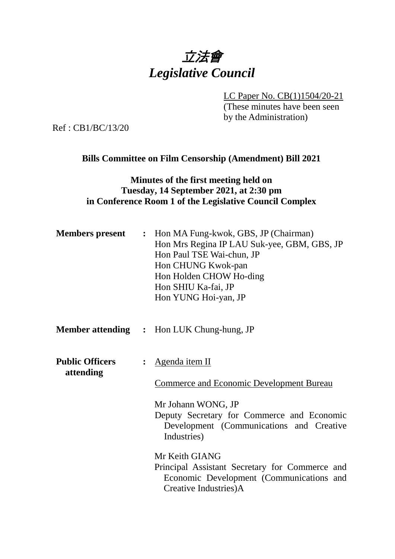# 立法會 *Legislative Council*

LC Paper No. CB(1)1504/20-21

(These minutes have been seen by the Administration)

Ref : CB1/BC/13/20

# **Bills Committee on Film Censorship (Amendment) Bill 2021**

## **Minutes of the first meeting held on Tuesday, 14 September 2021, at 2:30 pm in Conference Room 1 of the Legislative Council Complex**

| <b>Members present</b>              | : Hon MA Fung-kwok, GBS, JP (Chairman)<br>Hon Mrs Regina IP LAU Suk-yee, GBM, GBS, JP<br>Hon Paul TSE Wai-chun, JP<br>Hon CHUNG Kwok-pan<br>Hon Holden CHOW Ho-ding<br>Hon SHIU Ka-fai, JP<br>Hon YUNG Hoi-yan, JP |
|-------------------------------------|--------------------------------------------------------------------------------------------------------------------------------------------------------------------------------------------------------------------|
|                                     | <b>Member attending : Hon LUK Chung-hung, JP</b>                                                                                                                                                                   |
| <b>Public Officers</b><br>attending | <u>Agenda item II</u><br><b>Commerce and Economic Development Bureau</b><br>Mr Johann WONG, JP<br>Deputy Secretary for Commerce and Economic<br>Development (Communications and Creative<br>Industries)            |
|                                     | Mr Keith GIANG<br>Principal Assistant Secretary for Commerce and<br>Economic Development (Communications and<br>Creative Industries)A                                                                              |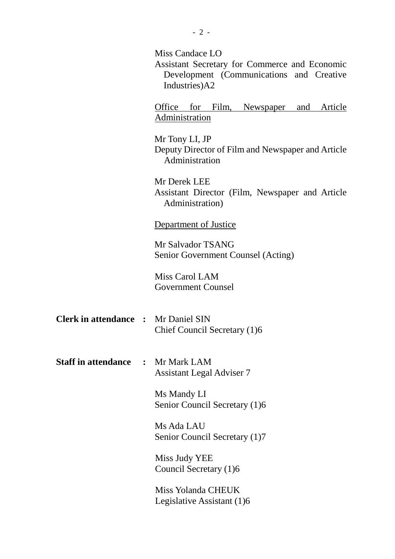|                                            |                | Miss Candace LO<br>Assistant Secretary for Commerce and Economic<br>Development (Communications and Creative<br>Industries)A2 |
|--------------------------------------------|----------------|-------------------------------------------------------------------------------------------------------------------------------|
|                                            |                | Office for Film, Newspaper and Article<br>Administration                                                                      |
|                                            |                | Mr Tony LI, JP<br>Deputy Director of Film and Newspaper and Article<br>Administration                                         |
|                                            |                | Mr Derek LEE<br>Assistant Director (Film, Newspaper and Article<br>Administration)                                            |
|                                            |                | Department of Justice                                                                                                         |
|                                            |                | Mr Salvador TSANG<br>Senior Government Counsel (Acting)                                                                       |
|                                            |                | Miss Carol LAM<br><b>Government Counsel</b>                                                                                   |
| <b>Clerk in attendance : Mr Daniel SIN</b> |                | Chief Council Secretary (1)6                                                                                                  |
| <b>Staff in attendance</b>                 | $\ddot{\cdot}$ | Mr Mark LAM<br><b>Assistant Legal Adviser 7</b>                                                                               |
|                                            |                | Ms Mandy LI<br>Senior Council Secretary (1)6                                                                                  |
|                                            |                | Ms Ada LAU<br>Senior Council Secretary (1)7                                                                                   |
|                                            |                | Miss Judy YEE<br>Council Secretary (1)6                                                                                       |
|                                            |                | Miss Yolanda CHEUK<br>Legislative Assistant (1)6                                                                              |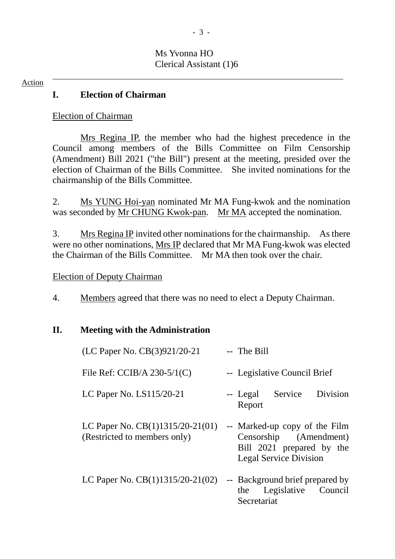## Ms Yvonna HO Clerical Assistant (1)6

#### Action

## **I. Election of Chairman**

Election of Chairman

Mrs Regina IP, the member who had the highest precedence in the Council among members of the Bills Committee on Film Censorship (Amendment) Bill 2021 ("the Bill") present at the meeting, presided over the election of Chairman of the Bills Committee. She invited nominations for the chairmanship of the Bills Committee.

2. Ms YUNG Hoi-yan nominated Mr MA Fung-kwok and the nomination was seconded by Mr CHUNG Kwok-pan. Mr MA accepted the nomination.

3. Mrs Regina IP invited other nominations for the chairmanship. As there were no other nominations, Mrs IP declared that Mr MA Fung-kwok was elected the Chairman of the Bills Committee. Mr MA then took over the chair.

### Election of Deputy Chairman

4. Members agreed that there was no need to elect a Deputy Chairman.

### **II. Meeting with the Administration**

| (LC Paper No. CB(3)921/20-21                                       | -- The Bill                                                                                                           |
|--------------------------------------------------------------------|-----------------------------------------------------------------------------------------------------------------------|
| File Ref: CCIB/A $230-5/1(C)$                                      | -- Legislative Council Brief                                                                                          |
| LC Paper No. LS115/20-21                                           | Division<br>Service<br>-- Legal<br>Report                                                                             |
| LC Paper No. $CB(1)1315/20-21(01)$<br>(Restricted to members only) | -- Marked-up copy of the Film<br>Censorship (Amendment)<br>Bill 2021 prepared by the<br><b>Legal Service Division</b> |
| LC Paper No. CB(1)1315/20-21(02)                                   | -- Background brief prepared by<br>Legislative Council<br>the<br>Secretariat                                          |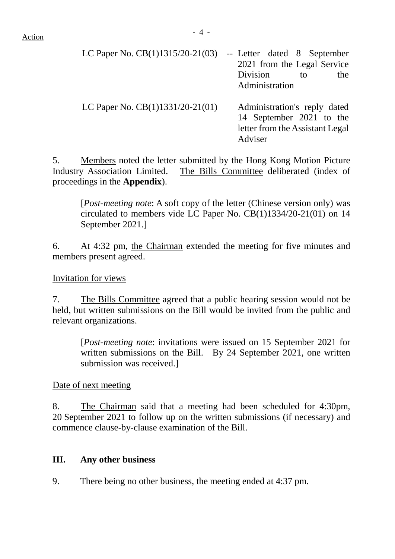| LC Paper No. $CB(1)1315/20-21(03)$ | -- Letter dated 8 September<br>2021 from the Legal Service<br>Division<br>the<br>to<br>Administration  |
|------------------------------------|--------------------------------------------------------------------------------------------------------|
| LC Paper No. $CB(1)1331/20-21(01)$ | Administration's reply dated<br>14 September 2021 to the<br>letter from the Assistant Legal<br>Adviser |

5. Members noted the letter submitted by the Hong Kong Motion Picture Industry Association Limited. The Bills Committee deliberated (index of proceedings in the **Appendix**).

[*Post-meeting note*: A soft copy of the letter (Chinese version only) was circulated to members vide LC Paper No. CB(1)1334/20-21(01) on 14 September 2021.]

6. At 4:32 pm, the Chairman extended the meeting for five minutes and members present agreed.

Invitation for views

7. The Bills Committee agreed that a public hearing session would not be held, but written submissions on the Bill would be invited from the public and relevant organizations.

[*Post-meeting note*: invitations were issued on 15 September 2021 for written submissions on the Bill. By 24 September 2021, one written submission was received.]

Date of next meeting

8. The Chairman said that a meeting had been scheduled for 4:30pm, 20 September 2021 to follow up on the written submissions (if necessary) and commence clause-by-clause examination of the Bill.

# **III. Any other business**

9. There being no other business, the meeting ended at 4:37 pm.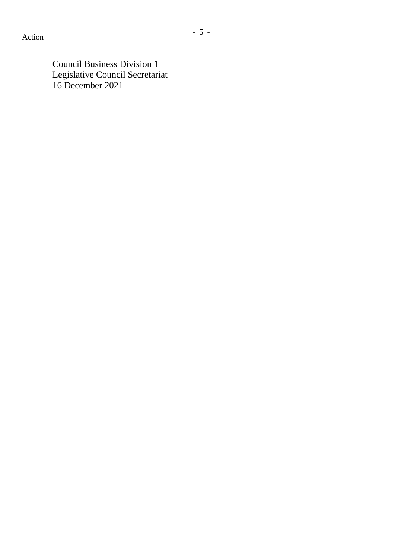Council Business Division 1 Legislative Council Secretariat 16 December 2021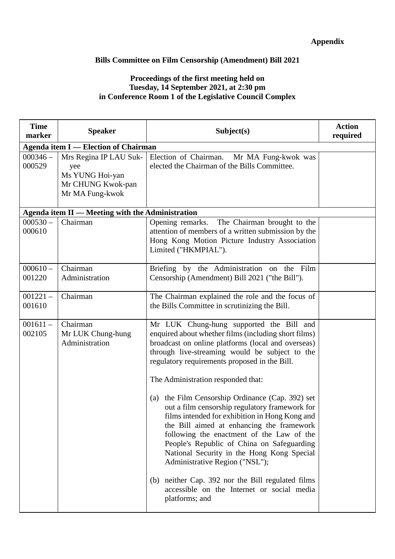### **Appendix**

#### **Bills Committee on Film Censorship (Amendment) Bill 2021**

#### **Proceedings of the first meeting held on Tuesday, 14 September 2021, at 2:30 pm in Conference Room 1 of the Legislative Council Complex**

| <b>Time</b><br>marker | <b>Speaker</b>                                                                           | Subject(s)                                                                                                                                                                                                                                                                                                                                                                                                                                                                                                                                                                                                                                                                                                                                                                                           | <b>Action</b><br>required |
|-----------------------|------------------------------------------------------------------------------------------|------------------------------------------------------------------------------------------------------------------------------------------------------------------------------------------------------------------------------------------------------------------------------------------------------------------------------------------------------------------------------------------------------------------------------------------------------------------------------------------------------------------------------------------------------------------------------------------------------------------------------------------------------------------------------------------------------------------------------------------------------------------------------------------------------|---------------------------|
|                       | <b>Agenda item I — Election of Chairman</b>                                              |                                                                                                                                                                                                                                                                                                                                                                                                                                                                                                                                                                                                                                                                                                                                                                                                      |                           |
| $000346 -$<br>000529  | Mrs Regina IP LAU Suk-<br>yee<br>Ms YUNG Hoi-yan<br>Mr CHUNG Kwok-pan<br>Mr MA Fung-kwok | Election of Chairman.<br>Mr MA Fung-kwok was<br>elected the Chairman of the Bills Committee.                                                                                                                                                                                                                                                                                                                                                                                                                                                                                                                                                                                                                                                                                                         |                           |
|                       | Agenda item II - Meeting with the Administration                                         |                                                                                                                                                                                                                                                                                                                                                                                                                                                                                                                                                                                                                                                                                                                                                                                                      |                           |
| $000530 -$<br>000610  | Chairman                                                                                 | The Chairman brought to the<br>Opening remarks.<br>attention of members of a written submission by the<br>Hong Kong Motion Picture Industry Association<br>Limited ("HKMPIAL").                                                                                                                                                                                                                                                                                                                                                                                                                                                                                                                                                                                                                      |                           |
| $000610 -$<br>001220  | Chairman<br>Administration                                                               | Briefing by the Administration on the Film<br>Censorship (Amendment) Bill 2021 ("the Bill").                                                                                                                                                                                                                                                                                                                                                                                                                                                                                                                                                                                                                                                                                                         |                           |
| $001221 -$<br>001610  | Chairman                                                                                 | The Chairman explained the role and the focus of<br>the Bills Committee in scrutinizing the Bill.                                                                                                                                                                                                                                                                                                                                                                                                                                                                                                                                                                                                                                                                                                    |                           |
| $001611 -$<br>002105  | Chairman<br>Mr LUK Chung-hung<br>Administration                                          | Mr LUK Chung-hung supported the Bill and<br>enquired about whether films (including short films)<br>broadcast on online platforms (local and overseas)<br>through live-streaming would be subject to the<br>regulatory requirements proposed in the Bill.<br>The Administration responded that:<br>(a) the Film Censorship Ordinance (Cap. 392) set<br>out a film censorship regulatory framework for<br>films intended for exhibition in Hong Kong and<br>the Bill aimed at enhancing the framework<br>following the enactment of the Law of the<br>People's Republic of China on Safeguarding<br>National Security in the Hong Kong Special<br>Administrative Region ("NSL");<br>(b) neither Cap. 392 nor the Bill regulated films<br>accessible on the Internet or social media<br>platforms; and |                           |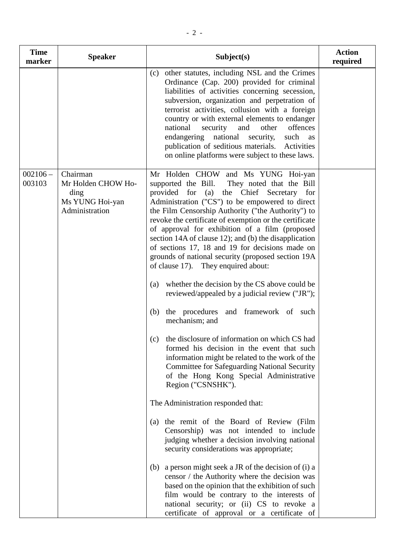| <b>Time</b><br>marker | <b>Speaker</b>                                                              | Subject(s)                                                                                                                                                                                                                                                                                                                                                                                                                                                                                                                                                   | <b>Action</b><br>required |
|-----------------------|-----------------------------------------------------------------------------|--------------------------------------------------------------------------------------------------------------------------------------------------------------------------------------------------------------------------------------------------------------------------------------------------------------------------------------------------------------------------------------------------------------------------------------------------------------------------------------------------------------------------------------------------------------|---------------------------|
|                       |                                                                             | other statutes, including NSL and the Crimes<br>(c)<br>Ordinance (Cap. 200) provided for criminal<br>liabilities of activities concerning secession,<br>subversion, organization and perpetration of<br>terrorist activities, collusion with a foreign<br>country or with external elements to endanger<br>national<br>security<br>and<br>other<br>offences<br>endangering national security, such as<br>publication of seditious materials. Activities<br>on online platforms were subject to these laws.                                                   |                           |
| $02106 -$<br>03103    | Chairman<br>Mr Holden CHOW Ho-<br>ding<br>Ms YUNG Hoi-yan<br>Administration | Mr Holden CHOW and Ms YUNG Hoi-yan<br>supported the Bill. They noted that the Bill<br>provided for (a) the Chief Secretary for<br>Administration ("CS") to be empowered to direct<br>the Film Censorship Authority ("the Authority") to<br>revoke the certificate of exemption or the certificate<br>of approval for exhibition of a film (proposed<br>section 14A of clause 12); and (b) the disapplication<br>of sections 17, 18 and 19 for decisions made on<br>grounds of national security (proposed section 19A<br>of clause 17). They enquired about: |                           |

- (a) whether the decision by the CS above could be reviewed/appealed by a judicial review ("JR");
	- (b) the procedures and framework of such mechanism; and
	- (c) the disclosure of information on which CS had formed his decision in the event that such information might be related to the work of the Committee for Safeguarding National Security of the Hong Kong Special Administrative Region ("CSNSHK").

The Administration responded that:

- (a) the remit of the Board of Review (Film Censorship) was not intended to include judging whether a decision involving national security considerations was appropriate;
- (b) a person might seek a JR of the decision of (i) a censor / the Authority where the decision was based on the opinion that the exhibition of such film would be contrary to the interests of national security; or (ii) CS to revoke a certificate of approval or a certificate of

 $002106 -$ 003103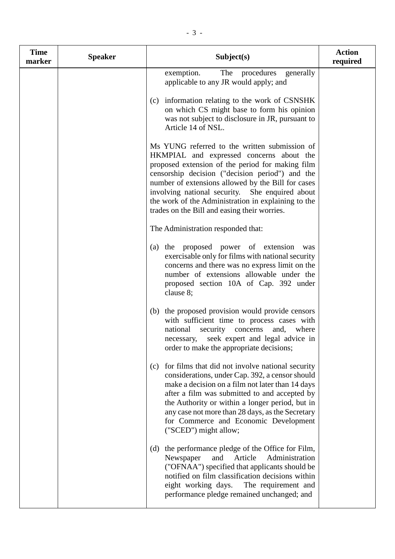| <b>Time</b><br>marker | <b>Speaker</b> | Subject(s)                                                                                                                                                                                                                                                                                                                                                                                                       | <b>Action</b><br>required |
|-----------------------|----------------|------------------------------------------------------------------------------------------------------------------------------------------------------------------------------------------------------------------------------------------------------------------------------------------------------------------------------------------------------------------------------------------------------------------|---------------------------|
|                       |                | The procedures<br>exemption.<br>generally<br>applicable to any JR would apply; and                                                                                                                                                                                                                                                                                                                               |                           |
|                       |                | (c) information relating to the work of CSNSHK<br>on which CS might base to form his opinion<br>was not subject to disclosure in JR, pursuant to<br>Article 14 of NSL.                                                                                                                                                                                                                                           |                           |
|                       |                | Ms YUNG referred to the written submission of<br>HKMPIAL and expressed concerns about the<br>proposed extension of the period for making film<br>censorship decision ("decision period") and the<br>number of extensions allowed by the Bill for cases<br>involving national security. She enquired about<br>the work of the Administration in explaining to the<br>trades on the Bill and easing their worries. |                           |
|                       |                | The Administration responded that:                                                                                                                                                                                                                                                                                                                                                                               |                           |
|                       |                | the proposed power of extension<br>(a)<br>was<br>exercisable only for films with national security<br>concerns and there was no express limit on the<br>number of extensions allowable under the<br>proposed section 10A of Cap. 392 under<br>clause 8;                                                                                                                                                          |                           |
|                       |                | the proposed provision would provide censors<br>(b)<br>with sufficient time to process cases with<br>national<br>security concerns<br>and,<br>where<br>seek expert and legal advice in<br>necessary,<br>order to make the appropriate decisions;                                                                                                                                                                 |                           |
|                       |                | for films that did not involve national security<br>(c)<br>considerations, under Cap. 392, a censor should<br>make a decision on a film not later than 14 days<br>after a film was submitted to and accepted by<br>the Authority or within a longer period, but in<br>any case not more than 28 days, as the Secretary<br>for Commerce and Economic Development<br>("SCED") might allow;                         |                           |
|                       |                | the performance pledge of the Office for Film,<br>(d)<br>Administration<br>Newspaper<br>and<br>Article<br>("OFNAA") specified that applicants should be<br>notified on film classification decisions within<br>eight working days. The requirement and<br>performance pledge remained unchanged; and                                                                                                             |                           |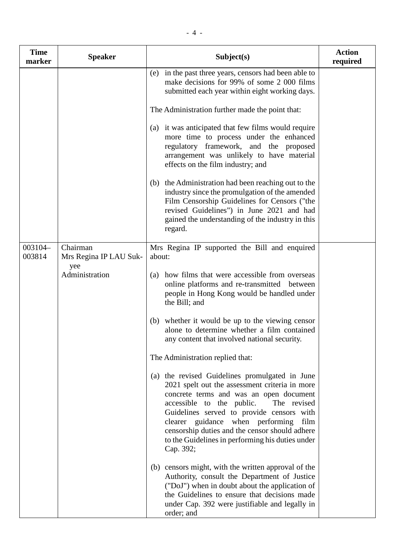| <b>Time</b><br>marker | <b>Speaker</b>                     | Subject(s)                                                                                                                                                                                                                                                                                                                                                                                             | <b>Action</b><br>required |
|-----------------------|------------------------------------|--------------------------------------------------------------------------------------------------------------------------------------------------------------------------------------------------------------------------------------------------------------------------------------------------------------------------------------------------------------------------------------------------------|---------------------------|
|                       |                                    | in the past three years, censors had been able to<br>(e)<br>make decisions for 99% of some 2 000 films<br>submitted each year within eight working days.                                                                                                                                                                                                                                               |                           |
|                       |                                    | The Administration further made the point that:                                                                                                                                                                                                                                                                                                                                                        |                           |
|                       |                                    | (a) it was anticipated that few films would require<br>more time to process under the enhanced<br>regulatory framework, and the proposed<br>arrangement was unlikely to have material<br>effects on the film industry; and                                                                                                                                                                             |                           |
|                       |                                    | (b) the Administration had been reaching out to the<br>industry since the promulgation of the amended<br>Film Censorship Guidelines for Censors ("the<br>revised Guidelines") in June 2021 and had<br>gained the understanding of the industry in this<br>regard.                                                                                                                                      |                           |
| 003104-<br>003814     | Chairman<br>Mrs Regina IP LAU Suk- | Mrs Regina IP supported the Bill and enquired<br>about:                                                                                                                                                                                                                                                                                                                                                |                           |
|                       | yee<br>Administration              | (a) how films that were accessible from overseas<br>online platforms and re-transmitted between<br>people in Hong Kong would be handled under<br>the Bill; and                                                                                                                                                                                                                                         |                           |
|                       |                                    | whether it would be up to the viewing censor<br>(b)<br>alone to determine whether a film contained<br>any content that involved national security.                                                                                                                                                                                                                                                     |                           |
|                       |                                    | The Administration replied that:                                                                                                                                                                                                                                                                                                                                                                       |                           |
|                       |                                    | the revised Guidelines promulgated in June<br>(a)<br>2021 spelt out the assessment criteria in more<br>concrete terms and was an open document<br>accessible to the public.<br>The revised<br>Guidelines served to provide censors with<br>clearer guidance when performing<br>film<br>censorship duties and the censor should adhere<br>to the Guidelines in performing his duties under<br>Cap. 392; |                           |

(b) censors might, with the written approval of the Authority, consult the Department of Justice ("DoJ") when in doubt about the application of the Guidelines to ensure that decisions made under Cap. 392 were justifiable and legally in order; and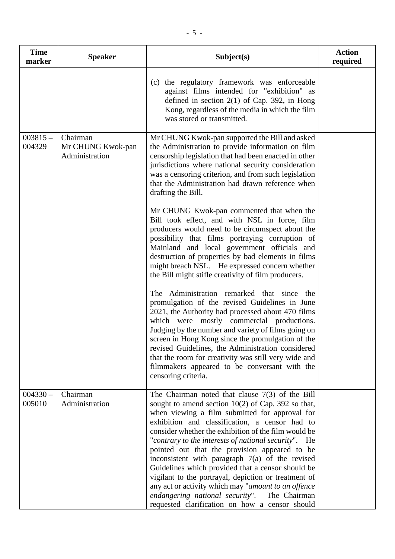| <b>Time</b><br>marker | <b>Speaker</b>                                  | Subject(s)                                                                                                                                                                                                                                                                                                                                                                                                                                                                                                                                                                                                                                                                                                                                                                                                                                                                                                                                                                                                                                                                                                                                                                                                                                                                  | <b>Action</b><br>required |
|-----------------------|-------------------------------------------------|-----------------------------------------------------------------------------------------------------------------------------------------------------------------------------------------------------------------------------------------------------------------------------------------------------------------------------------------------------------------------------------------------------------------------------------------------------------------------------------------------------------------------------------------------------------------------------------------------------------------------------------------------------------------------------------------------------------------------------------------------------------------------------------------------------------------------------------------------------------------------------------------------------------------------------------------------------------------------------------------------------------------------------------------------------------------------------------------------------------------------------------------------------------------------------------------------------------------------------------------------------------------------------|---------------------------|
|                       |                                                 | (c) the regulatory framework was enforceable<br>against films intended for "exhibition" as<br>defined in section $2(1)$ of Cap. 392, in Hong<br>Kong, regardless of the media in which the film<br>was stored or transmitted.                                                                                                                                                                                                                                                                                                                                                                                                                                                                                                                                                                                                                                                                                                                                                                                                                                                                                                                                                                                                                                               |                           |
| $003815 -$<br>004329  | Chairman<br>Mr CHUNG Kwok-pan<br>Administration | Mr CHUNG Kwok-pan supported the Bill and asked<br>the Administration to provide information on film<br>censorship legislation that had been enacted in other<br>jurisdictions where national security consideration<br>was a censoring criterion, and from such legislation<br>that the Administration had drawn reference when<br>drafting the Bill.<br>Mr CHUNG Kwok-pan commented that when the<br>Bill took effect, and with NSL in force, film<br>producers would need to be circumspect about the<br>possibility that films portraying corruption of<br>Mainland and local government officials and<br>destruction of properties by bad elements in films<br>might breach NSL. He expressed concern whether<br>the Bill might stifle creativity of film producers.<br>The Administration remarked that since the<br>promulgation of the revised Guidelines in June<br>2021, the Authority had processed about 470 films<br>which were mostly commercial productions.<br>Judging by the number and variety of films going on<br>screen in Hong Kong since the promulgation of the<br>revised Guidelines, the Administration considered<br>that the room for creativity was still very wide and<br>filmmakers appeared to be conversant with the<br>censoring criteria. |                           |
| $004330 -$<br>005010  | Chairman<br>Administration                      | The Chairman noted that clause $7(3)$ of the Bill<br>sought to amend section $10(2)$ of Cap. 392 so that,<br>when viewing a film submitted for approval for<br>exhibition and classification, a censor had to<br>consider whether the exhibition of the film would be<br>"contrary to the interests of national security". He<br>pointed out that the provision appeared to be<br>inconsistent with paragraph 7(a) of the revised<br>Guidelines which provided that a censor should be<br>vigilant to the portrayal, depiction or treatment of<br>any act or activity which may "amount to an offence<br>endangering national security". The Chairman<br>requested clarification on how a censor should                                                                                                                                                                                                                                                                                                                                                                                                                                                                                                                                                                     |                           |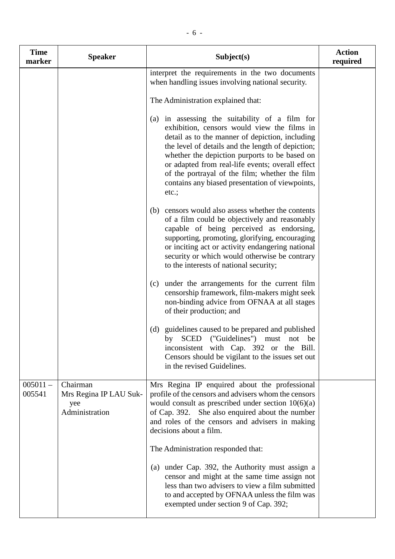| <b>Time</b><br>marker | <b>Speaker</b>                                              | Subject(s)                                                                                                                                                                                                                                                                                                                                                                                                               | <b>Action</b><br>required |
|-----------------------|-------------------------------------------------------------|--------------------------------------------------------------------------------------------------------------------------------------------------------------------------------------------------------------------------------------------------------------------------------------------------------------------------------------------------------------------------------------------------------------------------|---------------------------|
|                       |                                                             | interpret the requirements in the two documents<br>when handling issues involving national security.                                                                                                                                                                                                                                                                                                                     |                           |
|                       |                                                             | The Administration explained that:                                                                                                                                                                                                                                                                                                                                                                                       |                           |
|                       |                                                             | (a) in assessing the suitability of a film for<br>exhibition, censors would view the films in<br>detail as to the manner of depiction, including<br>the level of details and the length of depiction;<br>whether the depiction purports to be based on<br>or adapted from real-life events; overall effect<br>of the portrayal of the film; whether the film<br>contains any biased presentation of viewpoints,<br>etc.; |                           |
|                       |                                                             | (b) censors would also assess whether the contents<br>of a film could be objectively and reasonably<br>capable of being perceived as endorsing,<br>supporting, promoting, glorifying, encouraging<br>or inciting act or activity endangering national<br>security or which would otherwise be contrary<br>to the interests of national security;                                                                         |                           |
|                       |                                                             | (c) under the arrangements for the current film<br>censorship framework, film-makers might seek<br>non-binding advice from OFNAA at all stages<br>of their production; and                                                                                                                                                                                                                                               |                           |
|                       |                                                             | guidelines caused to be prepared and published<br>(d)<br>("Guidelines")<br><b>SCED</b><br>by<br>must not<br>be<br>inconsistent with Cap. 392 or the Bill.<br>Censors should be vigilant to the issues set out<br>in the revised Guidelines.                                                                                                                                                                              |                           |
| $005011 -$<br>005541  | Chairman<br>Mrs Regina IP LAU Suk-<br>yee<br>Administration | Mrs Regina IP enquired about the professional<br>profile of the censors and advisers whom the censors<br>would consult as prescribed under section $10(6)(a)$<br>of Cap. 392. She also enquired about the number<br>and roles of the censors and advisers in making<br>decisions about a film.                                                                                                                           |                           |
|                       |                                                             | The Administration responded that:                                                                                                                                                                                                                                                                                                                                                                                       |                           |
|                       |                                                             | (a) under Cap. 392, the Authority must assign a<br>censor and might at the same time assign not<br>less than two advisers to view a film submitted<br>to and accepted by OFNAA unless the film was<br>exempted under section 9 of Cap. 392;                                                                                                                                                                              |                           |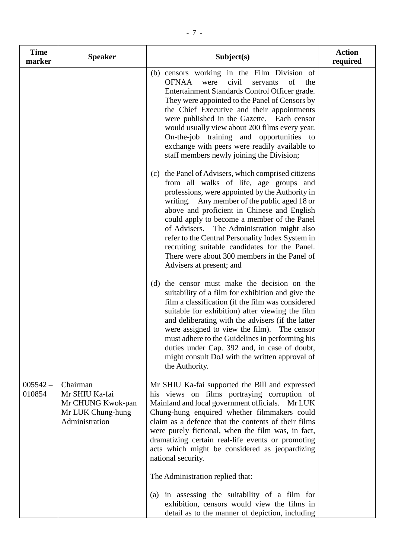| <b>Time</b><br>marker | <b>Speaker</b>                                                                         | Subject(s)                                                                                                                                                                                                                                                                                                                                                                                                                                                                                                                       | <b>Action</b><br>required |
|-----------------------|----------------------------------------------------------------------------------------|----------------------------------------------------------------------------------------------------------------------------------------------------------------------------------------------------------------------------------------------------------------------------------------------------------------------------------------------------------------------------------------------------------------------------------------------------------------------------------------------------------------------------------|---------------------------|
|                       |                                                                                        | (b) censors working in the Film Division of<br>OFNAA<br>civil<br>of<br>were<br>servants<br>the<br>Entertainment Standards Control Officer grade.<br>They were appointed to the Panel of Censors by<br>the Chief Executive and their appointments<br>were published in the Gazette.<br>Each censor<br>would usually view about 200 films every year.<br>On-the-job training and opportunities to<br>exchange with peers were readily available to<br>staff members newly joining the Division;                                    |                           |
|                       |                                                                                        | (c) the Panel of Advisers, which comprised citizens<br>from all walks of life, age groups and<br>professions, were appointed by the Authority in<br>writing. Any member of the public aged 18 or<br>above and proficient in Chinese and English<br>could apply to become a member of the Panel<br>of Advisers.<br>The Administration might also<br>refer to the Central Personality Index System in<br>recruiting suitable candidates for the Panel.<br>There were about 300 members in the Panel of<br>Advisers at present; and |                           |
|                       |                                                                                        | (d) the censor must make the decision on the<br>suitability of a film for exhibition and give the<br>film a classification (if the film was considered<br>suitable for exhibition) after viewing the film<br>and deliberating with the advisers (if the latter<br>were assigned to view the film). The censor<br>must adhere to the Guidelines in performing his<br>duties under Cap. 392 and, in case of doubt,<br>might consult DoJ with the written approval of<br>the Authority.                                             |                           |
| $005542 -$<br>010854  | Chairman<br>Mr SHIU Ka-fai<br>Mr CHUNG Kwok-pan<br>Mr LUK Chung-hung<br>Administration | Mr SHIU Ka-fai supported the Bill and expressed<br>his views on films portraying corruption of<br>Mainland and local government officials.<br>Mr LUK<br>Chung-hung enquired whether filmmakers could<br>claim as a defence that the contents of their films<br>were purely fictional, when the film was, in fact,<br>dramatizing certain real-life events or promoting<br>acts which might be considered as jeopardizing<br>national security.<br>The Administration replied that:                                               |                           |
|                       |                                                                                        | (a) in assessing the suitability of a film for<br>exhibition, censors would view the films in<br>detail as to the manner of depiction, including                                                                                                                                                                                                                                                                                                                                                                                 |                           |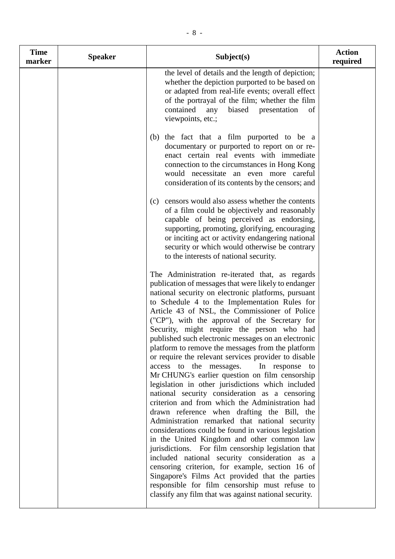| <b>Time</b><br>marker | <b>Speaker</b> | Subject(s)                                                                                                                                                                                                                                                                                                                                                                                                                                                                                                                                                                                                                                                                                                                                                                                                                                                                                                                                                                                                                                                                                                                                                                                                                                                                                                                    | <b>Action</b><br>required |
|-----------------------|----------------|-------------------------------------------------------------------------------------------------------------------------------------------------------------------------------------------------------------------------------------------------------------------------------------------------------------------------------------------------------------------------------------------------------------------------------------------------------------------------------------------------------------------------------------------------------------------------------------------------------------------------------------------------------------------------------------------------------------------------------------------------------------------------------------------------------------------------------------------------------------------------------------------------------------------------------------------------------------------------------------------------------------------------------------------------------------------------------------------------------------------------------------------------------------------------------------------------------------------------------------------------------------------------------------------------------------------------------|---------------------------|
|                       |                | the level of details and the length of depiction;<br>whether the depiction purported to be based on<br>or adapted from real-life events; overall effect<br>of the portrayal of the film; whether the film<br>contained<br>biased<br>any<br>presentation<br>of<br>viewpoints, etc.;                                                                                                                                                                                                                                                                                                                                                                                                                                                                                                                                                                                                                                                                                                                                                                                                                                                                                                                                                                                                                                            |                           |
|                       |                | the fact that a film purported to be a<br>(b)<br>documentary or purported to report on or re-<br>enact certain real events with immediate<br>connection to the circumstances in Hong Kong<br>would necessitate an even more careful<br>consideration of its contents by the censors; and                                                                                                                                                                                                                                                                                                                                                                                                                                                                                                                                                                                                                                                                                                                                                                                                                                                                                                                                                                                                                                      |                           |
|                       |                | censors would also assess whether the contents<br>(c)<br>of a film could be objectively and reasonably<br>capable of being perceived as endorsing,<br>supporting, promoting, glorifying, encouraging<br>or inciting act or activity endangering national<br>security or which would otherwise be contrary<br>to the interests of national security.                                                                                                                                                                                                                                                                                                                                                                                                                                                                                                                                                                                                                                                                                                                                                                                                                                                                                                                                                                           |                           |
|                       |                | The Administration re-iterated that, as regards<br>publication of messages that were likely to endanger<br>national security on electronic platforms, pursuant<br>to Schedule 4 to the Implementation Rules for<br>Article 43 of NSL, the Commissioner of Police<br>("CP"), with the approval of the Secretary for<br>Security, might require the person who had<br>published such electronic messages on an electronic<br>platform to remove the messages from the platform<br>or require the relevant services provider to disable<br>access to the messages.<br>In response to<br>Mr CHUNG's earlier question on film censorship<br>legislation in other jurisdictions which included<br>national security consideration as a censoring<br>criterion and from which the Administration had<br>drawn reference when drafting the Bill, the<br>Administration remarked that national security<br>considerations could be found in various legislation<br>in the United Kingdom and other common law<br>jurisdictions. For film censorship legislation that<br>included national security consideration as a<br>censoring criterion, for example, section 16 of<br>Singapore's Films Act provided that the parties<br>responsible for film censorship must refuse to<br>classify any film that was against national security. |                           |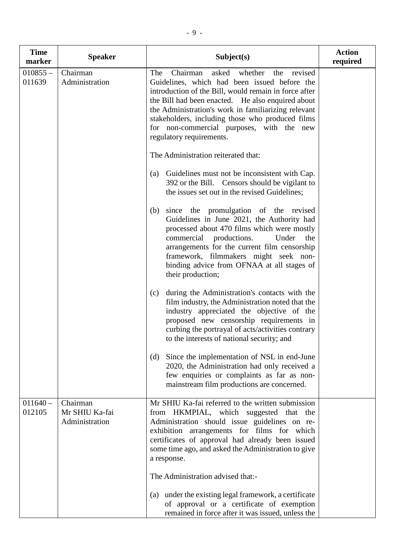| <b>Time</b><br>marker | <b>Speaker</b>                               | Subject(s)                                                                                                                                                                                                                                                                                                                                                                                              | <b>Action</b><br>required |
|-----------------------|----------------------------------------------|---------------------------------------------------------------------------------------------------------------------------------------------------------------------------------------------------------------------------------------------------------------------------------------------------------------------------------------------------------------------------------------------------------|---------------------------|
| $010855 -$<br>011639  | Chairman<br>Administration                   | Chairman<br>asked<br>whether<br>The<br>the<br>revised<br>Guidelines, which had been issued before the<br>introduction of the Bill, would remain in force after<br>the Bill had been enacted. He also enquired about<br>the Administration's work in familiarizing relevant<br>stakeholders, including those who produced films<br>for non-commercial purposes, with the new<br>regulatory requirements. |                           |
|                       |                                              | The Administration reiterated that:<br>Guidelines must not be inconsistent with Cap.<br>(a)<br>392 or the Bill. Censors should be vigilant to<br>the issues set out in the revised Guidelines;                                                                                                                                                                                                          |                           |
|                       |                                              | since the promulgation of the revised<br>(b)<br>Guidelines in June 2021, the Authority had<br>processed about 470 films which were mostly<br>commercial productions.<br>Under<br>the<br>arrangements for the current film censorship<br>framework, filmmakers might seek non-<br>binding advice from OFNAA at all stages of<br>their production;                                                        |                           |
|                       |                                              | during the Administration's contacts with the<br>(c)<br>film industry, the Administration noted that the<br>industry appreciated the objective of the<br>proposed new censorship requirements in<br>curbing the portrayal of acts/activities contrary<br>to the interests of national security; and                                                                                                     |                           |
|                       |                                              | Since the implementation of NSL in end-June<br>(d)<br>2020, the Administration had only received a<br>few enquiries or complaints as far as non-<br>mainstream film productions are concerned.                                                                                                                                                                                                          |                           |
| $011640 -$<br>012105  | Chairman<br>Mr SHIU Ka-fai<br>Administration | Mr SHIU Ka-fai referred to the written submission<br>from HKMPIAL, which suggested that the<br>Administration should issue guidelines on re-<br>exhibition arrangements for films for which<br>certificates of approval had already been issued<br>some time ago, and asked the Administration to give<br>a response.                                                                                   |                           |
|                       |                                              | The Administration advised that:-<br>(a) under the existing legal framework, a certificate<br>of approval or a certificate of exemption<br>remained in force after it was issued, unless the                                                                                                                                                                                                            |                           |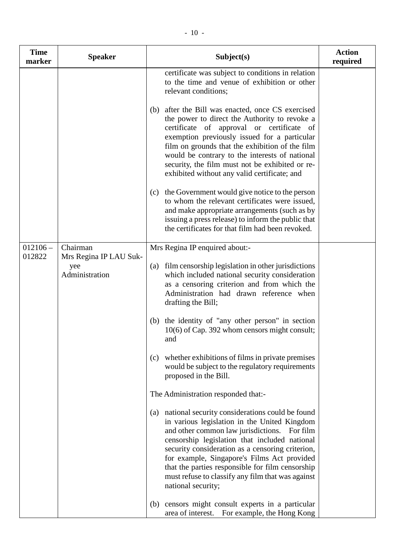| <b>Time</b><br>marker | <b>Speaker</b>                                              | Subject(s)                                                                                                                                                                                                                                                                                                                                                                                                                                                                                                                                                                                                                                                                                                                                                                                                                                                                                                                                                                                                                                                       | <b>Action</b><br>required |
|-----------------------|-------------------------------------------------------------|------------------------------------------------------------------------------------------------------------------------------------------------------------------------------------------------------------------------------------------------------------------------------------------------------------------------------------------------------------------------------------------------------------------------------------------------------------------------------------------------------------------------------------------------------------------------------------------------------------------------------------------------------------------------------------------------------------------------------------------------------------------------------------------------------------------------------------------------------------------------------------------------------------------------------------------------------------------------------------------------------------------------------------------------------------------|---------------------------|
|                       |                                                             | certificate was subject to conditions in relation<br>to the time and venue of exhibition or other<br>relevant conditions;<br>after the Bill was enacted, once CS exercised<br>(b)<br>the power to direct the Authority to revoke a<br>certificate of approval or certificate of<br>exemption previously issued for a particular<br>film on grounds that the exhibition of the film<br>would be contrary to the interests of national<br>security, the film must not be exhibited or re-<br>exhibited without any valid certificate; and<br>the Government would give notice to the person<br>(c)<br>to whom the relevant certificates were issued,<br>and make appropriate arrangements (such as by<br>issuing a press release) to inform the public that<br>the certificates for that film had been revoked.                                                                                                                                                                                                                                                    |                           |
| $012106 -$<br>012822  | Chairman<br>Mrs Regina IP LAU Suk-<br>yee<br>Administration | Mrs Regina IP enquired about:-<br>film censorship legislation in other jurisdictions<br>(a)<br>which included national security consideration<br>as a censoring criterion and from which the<br>Administration had drawn reference when<br>drafting the Bill;<br>the identity of "any other person" in section<br>(b)<br>10(6) of Cap. 392 whom censors might consult;<br>and<br>(c) whether exhibitions of films in private premises<br>would be subject to the regulatory requirements<br>proposed in the Bill.<br>The Administration responded that:-<br>national security considerations could be found<br>(a)<br>in various legislation in the United Kingdom<br>and other common law jurisdictions.<br>For film<br>censorship legislation that included national<br>security consideration as a censoring criterion,<br>for example, Singapore's Films Act provided<br>that the parties responsible for film censorship<br>must refuse to classify any film that was against<br>national security;<br>censors might consult experts in a particular<br>(b) |                           |
|                       |                                                             | area of interest.<br>For example, the Hong Kong                                                                                                                                                                                                                                                                                                                                                                                                                                                                                                                                                                                                                                                                                                                                                                                                                                                                                                                                                                                                                  |                           |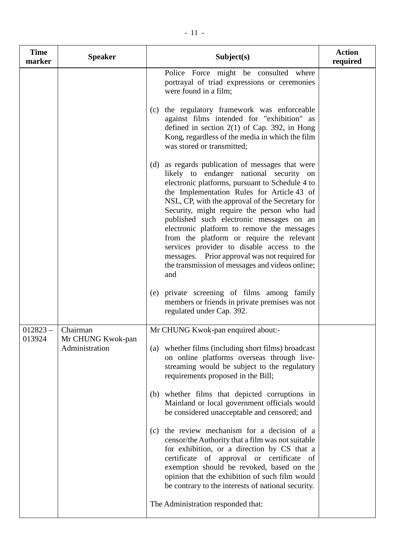| <b>Time</b><br>marker | <b>Speaker</b>                                  | Subject(s)                                                                                                                                                                                                                                                                                                                                                                                                                                                                                                                                                                                       | <b>Action</b><br>required |
|-----------------------|-------------------------------------------------|--------------------------------------------------------------------------------------------------------------------------------------------------------------------------------------------------------------------------------------------------------------------------------------------------------------------------------------------------------------------------------------------------------------------------------------------------------------------------------------------------------------------------------------------------------------------------------------------------|---------------------------|
|                       |                                                 | Police Force might be consulted where<br>portrayal of triad expressions or ceremonies<br>were found in a film;                                                                                                                                                                                                                                                                                                                                                                                                                                                                                   |                           |
|                       |                                                 | the regulatory framework was enforceable<br>(c)<br>against films intended for "exhibition" as<br>defined in section $2(1)$ of Cap. 392, in Hong<br>Kong, regardless of the media in which the film<br>was stored or transmitted;                                                                                                                                                                                                                                                                                                                                                                 |                           |
|                       |                                                 | as regards publication of messages that were<br>(d)<br>likely to endanger national security on<br>electronic platforms, pursuant to Schedule 4 to<br>the Implementation Rules for Article 43 of<br>NSL, CP, with the approval of the Secretary for<br>Security, might require the person who had<br>published such electronic messages on an<br>electronic platform to remove the messages<br>from the platform or require the relevant<br>services provider to disable access to the<br>messages. Prior approval was not required for<br>the transmission of messages and videos online;<br>and |                           |
|                       |                                                 | private screening of films among family<br>(e)<br>members or friends in private premises was not<br>regulated under Cap. 392.                                                                                                                                                                                                                                                                                                                                                                                                                                                                    |                           |
| $012823 -$<br>013924  | Chairman<br>Mr CHUNG Kwok-pan<br>Administration | Mr CHUNG Kwok-pan enquired about:-<br>(a) whether films (including short films) broadcast<br>on online platforms overseas through live-<br>streaming would be subject to the regulatory                                                                                                                                                                                                                                                                                                                                                                                                          |                           |
|                       |                                                 | requirements proposed in the Bill;<br>(b) whether films that depicted corruptions in<br>Mainland or local government officials would<br>be considered unacceptable and censored; and                                                                                                                                                                                                                                                                                                                                                                                                             |                           |
|                       |                                                 | the review mechanism for a decision of a<br>(c)<br>censor/the Authority that a film was not suitable<br>for exhibition, or a direction by CS that a<br>certificate of approval or certificate of<br>exemption should be revoked, based on the<br>opinion that the exhibition of such film would<br>be contrary to the interests of national security.                                                                                                                                                                                                                                            |                           |
|                       |                                                 | The Administration responded that:                                                                                                                                                                                                                                                                                                                                                                                                                                                                                                                                                               |                           |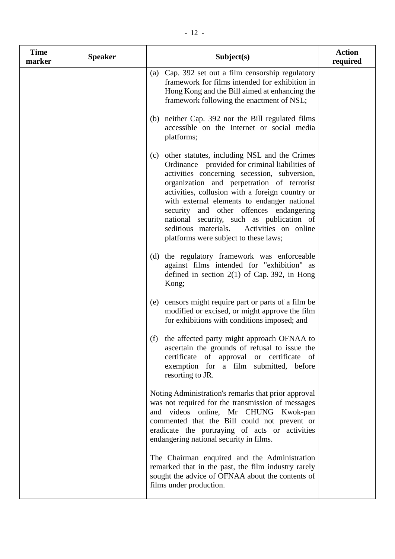| <b>Time</b><br>marker | <b>Speaker</b> | Subject(s)                                                                                                                                                                                                                                                                                                                                                                                                                                                                          | <b>Action</b><br>required |
|-----------------------|----------------|-------------------------------------------------------------------------------------------------------------------------------------------------------------------------------------------------------------------------------------------------------------------------------------------------------------------------------------------------------------------------------------------------------------------------------------------------------------------------------------|---------------------------|
|                       |                | (a) Cap. 392 set out a film censorship regulatory<br>framework for films intended for exhibition in<br>Hong Kong and the Bill aimed at enhancing the<br>framework following the enactment of NSL;                                                                                                                                                                                                                                                                                   |                           |
|                       |                | (b) neither Cap. 392 nor the Bill regulated films<br>accessible on the Internet or social media<br>platforms;                                                                                                                                                                                                                                                                                                                                                                       |                           |
|                       |                | (c) other statutes, including NSL and the Crimes<br>Ordinance provided for criminal liabilities of<br>activities concerning secession, subversion,<br>organization and perpetration of terrorist<br>activities, collusion with a foreign country or<br>with external elements to endanger national<br>security and other offences endangering<br>national security, such as publication of<br>seditious materials.<br>Activities on online<br>platforms were subject to these laws; |                           |
|                       |                | the regulatory framework was enforceable<br>(d)<br>against films intended for "exhibition" as<br>defined in section $2(1)$ of Cap. 392, in Hong<br>Kong;                                                                                                                                                                                                                                                                                                                            |                           |
|                       |                | censors might require part or parts of a film be<br>(e)<br>modified or excised, or might approve the film<br>for exhibitions with conditions imposed; and                                                                                                                                                                                                                                                                                                                           |                           |
|                       |                | the affected party might approach OFNAA to<br>(f)<br>ascertain the grounds of refusal to issue the<br>certificate of approval or certificate of<br>exemption for a film submitted, before<br>resorting to JR.                                                                                                                                                                                                                                                                       |                           |
|                       |                | Noting Administration's remarks that prior approval<br>was not required for the transmission of messages<br>and videos online, Mr CHUNG Kwok-pan<br>commented that the Bill could not prevent or<br>eradicate the portraying of acts or activities<br>endangering national security in films.                                                                                                                                                                                       |                           |
|                       |                | The Chairman enquired and the Administration<br>remarked that in the past, the film industry rarely<br>sought the advice of OFNAA about the contents of<br>films under production.                                                                                                                                                                                                                                                                                                  |                           |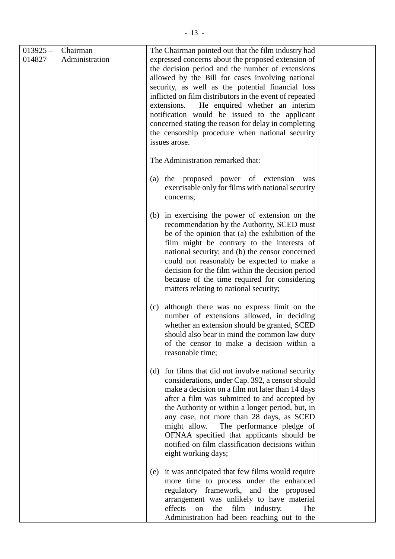| $013925 -$<br>014827 | Chairman<br>Administration | The Chairman pointed out that the film industry had<br>expressed concerns about the proposed extension of<br>the decision period and the number of extensions<br>allowed by the Bill for cases involving national<br>security, as well as the potential financial loss<br>inflicted on film distributors in the event of repeated<br>He enquired whether an interim<br>extensions.<br>notification would be issued to the applicant<br>concerned stating the reason for delay in completing<br>the censorship procedure when national security<br>issues arose. |
|----------------------|----------------------------|-----------------------------------------------------------------------------------------------------------------------------------------------------------------------------------------------------------------------------------------------------------------------------------------------------------------------------------------------------------------------------------------------------------------------------------------------------------------------------------------------------------------------------------------------------------------|
|                      |                            | The Administration remarked that:                                                                                                                                                                                                                                                                                                                                                                                                                                                                                                                               |
|                      |                            | the proposed power of extension<br>(a)<br>was<br>exercisable only for films with national security<br>concerns;                                                                                                                                                                                                                                                                                                                                                                                                                                                 |
|                      |                            | in exercising the power of extension on the<br>(b)<br>recommendation by the Authority, SCED must<br>be of the opinion that (a) the exhibition of the<br>film might be contrary to the interests of<br>national security; and (b) the censor concerned<br>could not reasonably be expected to make a<br>decision for the film within the decision period<br>because of the time required for considering<br>matters relating to national security;                                                                                                               |
|                      |                            | although there was no express limit on the<br>(c)<br>number of extensions allowed, in deciding<br>whether an extension should be granted, SCED<br>should also bear in mind the common law duty<br>of the censor to make a decision within a<br>reasonable time;                                                                                                                                                                                                                                                                                                 |
|                      |                            | for films that did not involve national security<br>(d)<br>considerations, under Cap. 392, a censor should<br>make a decision on a film not later than 14 days<br>after a film was submitted to and accepted by<br>the Authority or within a longer period, but, in<br>any case, not more than 28 days, as SCED<br>The performance pledge of<br>might allow.<br>OFNAA specified that applicants should be<br>notified on film classification decisions within<br>eight working days;                                                                            |
|                      |                            | it was anticipated that few films would require<br>(e)<br>more time to process under the enhanced<br>regulatory framework, and the proposed<br>arrangement was unlikely to have material<br>effects<br>film<br>The<br>the<br>industry.<br>on<br>Administration had been reaching out to the                                                                                                                                                                                                                                                                     |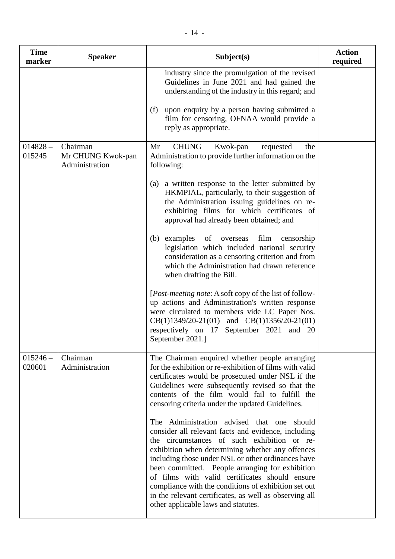| <b>Time</b><br>marker | <b>Speaker</b>                                  | Subject(s)                                                                                                                                                                                                                                                                                                                                                                                                                                                                                                                                                                                                                                                                                                                                                                                                                                                                                        | <b>Action</b><br>required |
|-----------------------|-------------------------------------------------|---------------------------------------------------------------------------------------------------------------------------------------------------------------------------------------------------------------------------------------------------------------------------------------------------------------------------------------------------------------------------------------------------------------------------------------------------------------------------------------------------------------------------------------------------------------------------------------------------------------------------------------------------------------------------------------------------------------------------------------------------------------------------------------------------------------------------------------------------------------------------------------------------|---------------------------|
|                       |                                                 | industry since the promulgation of the revised<br>Guidelines in June 2021 and had gained the<br>understanding of the industry in this regard; and<br>upon enquiry by a person having submitted a<br>(f)<br>film for censoring, OFNAA would provide a<br>reply as appropriate.                                                                                                                                                                                                                                                                                                                                                                                                                                                                                                                                                                                                                     |                           |
| $014828 -$<br>015245  | Chairman<br>Mr CHUNG Kwok-pan<br>Administration | <b>CHUNG</b><br>Mr<br>Kwok-pan<br>requested<br>the<br>Administration to provide further information on the<br>following:<br>a written response to the letter submitted by<br>(a)<br>HKMPIAL, particularly, to their suggestion of<br>the Administration issuing guidelines on re-<br>exhibiting films for which certificates of<br>approval had already been obtained; and<br>(b) examples of overseas<br>film censorship<br>legislation which included national security<br>consideration as a censoring criterion and from<br>which the Administration had drawn reference<br>when drafting the Bill.<br>[ <i>Post-meeting note:</i> A soft copy of the list of follow-<br>up actions and Administration's written response<br>were circulated to members vide LC Paper Nos.<br>$CB(1)1349/20-21(01)$ and $CB(1)1356/20-21(01)$<br>respectively on 17 September 2021 and 20<br>September 2021.] |                           |
| $015246 -$<br>020601  | Chairman<br>Administration                      | The Chairman enquired whether people arranging<br>for the exhibition or re-exhibition of films with valid<br>certificates would be prosecuted under NSL if the<br>Guidelines were subsequently revised so that the<br>contents of the film would fail to fulfill the<br>censoring criteria under the updated Guidelines.<br>The Administration advised that one<br>should<br>consider all relevant facts and evidence, including<br>the circumstances of such exhibition or re-<br>exhibition when determining whether any offences<br>including those under NSL or other ordinances have<br>been committed. People arranging for exhibition<br>of films with valid certificates should ensure<br>compliance with the conditions of exhibition set out<br>in the relevant certificates, as well as observing all<br>other applicable laws and statutes.                                           |                           |